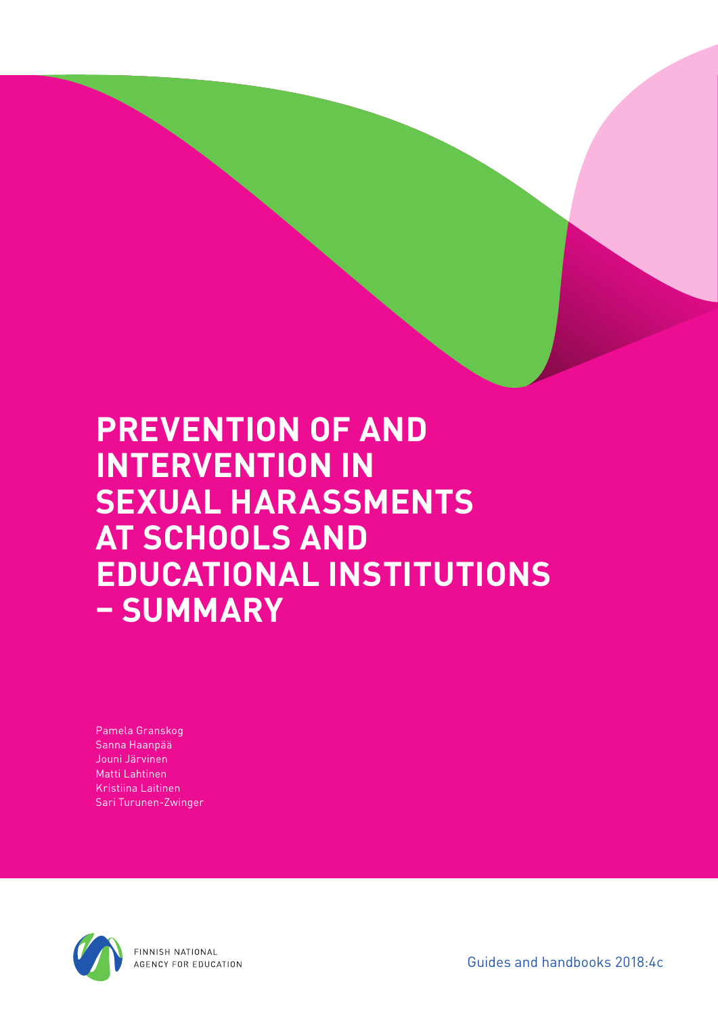# **PREVENTION OF AND INTERVENTION IN SEXUAL HARASSMENTS AT SCHOOLS AND EDUCATIONAL INSTITUTIONS – SUMMARY**

Pamela Granskog Sanna Haanpää Jouni Järvinen Matti Lahtinen Kristiina Laitinen Sari Turunen-Zwinger

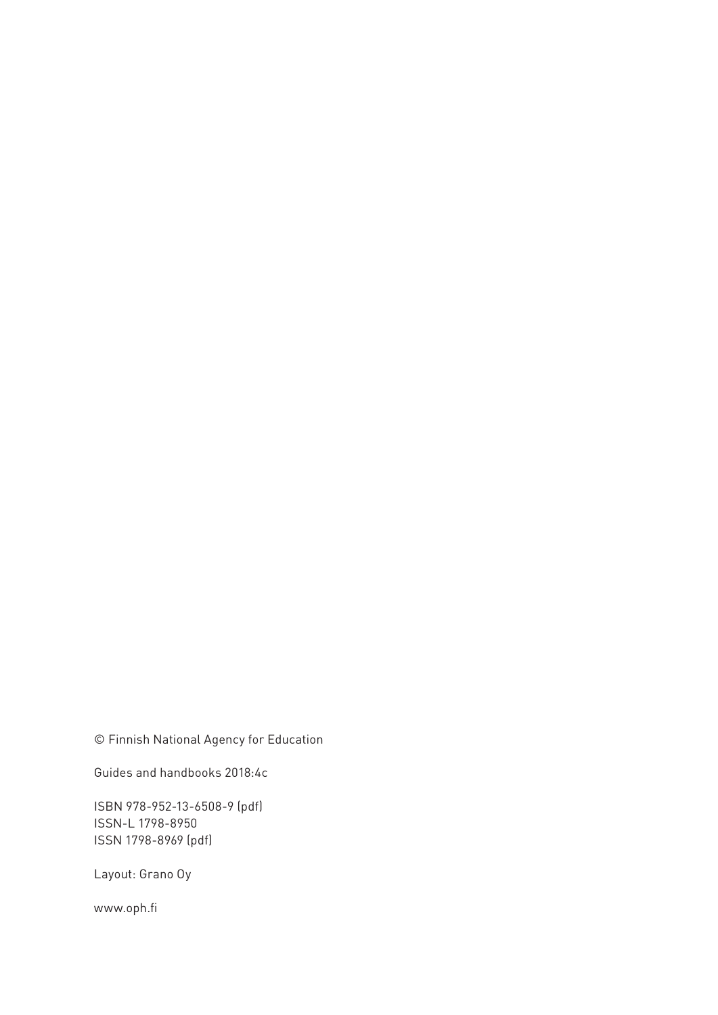© Finnish National Agency for Education

Guides and handbooks 2018:4c

ISBN 978-952-13-6508-9 (pdf) ISSN-L 1798-8950 ISSN 1798-8969 (pdf)

Layout: Grano Oy

www.oph.fi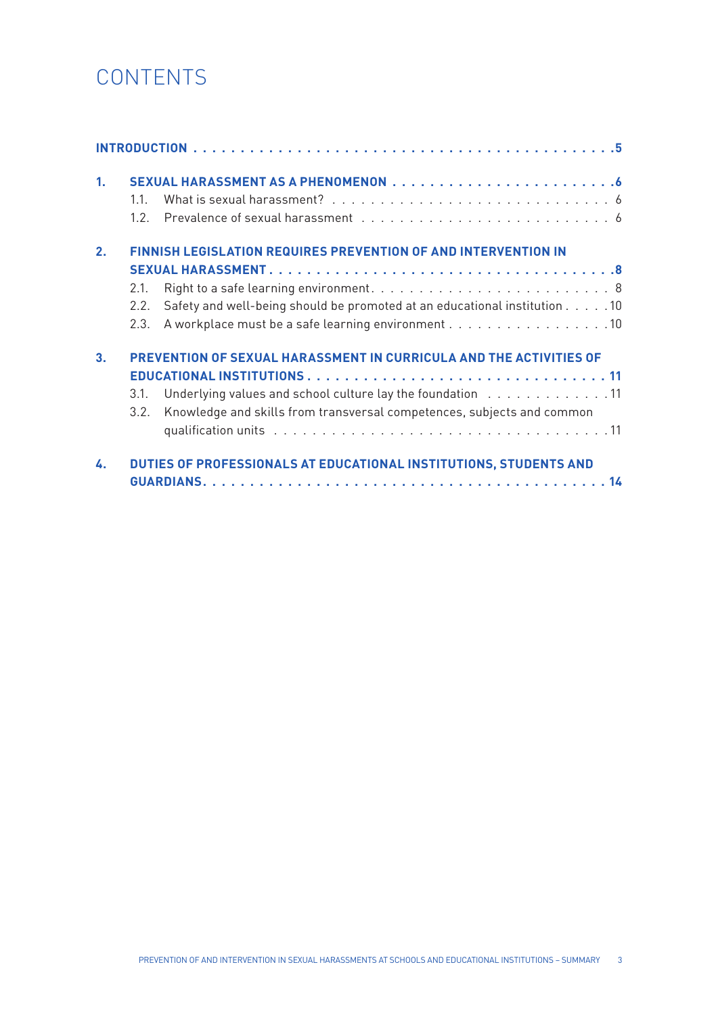## **CONTENTS**

| 1.             | 11<br>1.2.                                                            |                                                                           |
|----------------|-----------------------------------------------------------------------|---------------------------------------------------------------------------|
| 2.             | <b>FINNISH LEGISLATION REQUIRES PREVENTION OF AND INTERVENTION IN</b> |                                                                           |
|                |                                                                       |                                                                           |
|                | 2.1.                                                                  |                                                                           |
|                | 2.2.                                                                  | Safety and well-being should be promoted at an educational institution 10 |
|                | 2.3.                                                                  | A workplace must be a safe learning environment 10                        |
| 3 <sub>1</sub> | PREVENTION OF SEXUAL HARASSMENT IN CURRICULA AND THE ACTIVITIES OF    |                                                                           |
|                |                                                                       |                                                                           |
|                | 3.1.                                                                  | Underlying values and school culture lay the foundation 11                |
|                | 3.2.                                                                  | Knowledge and skills from transversal competences, subjects and common    |
|                |                                                                       |                                                                           |
| 4.             | DUTIES OF PROFESSIONALS AT EDUCATIONAL INSTITUTIONS, STUDENTS AND     |                                                                           |
|                |                                                                       |                                                                           |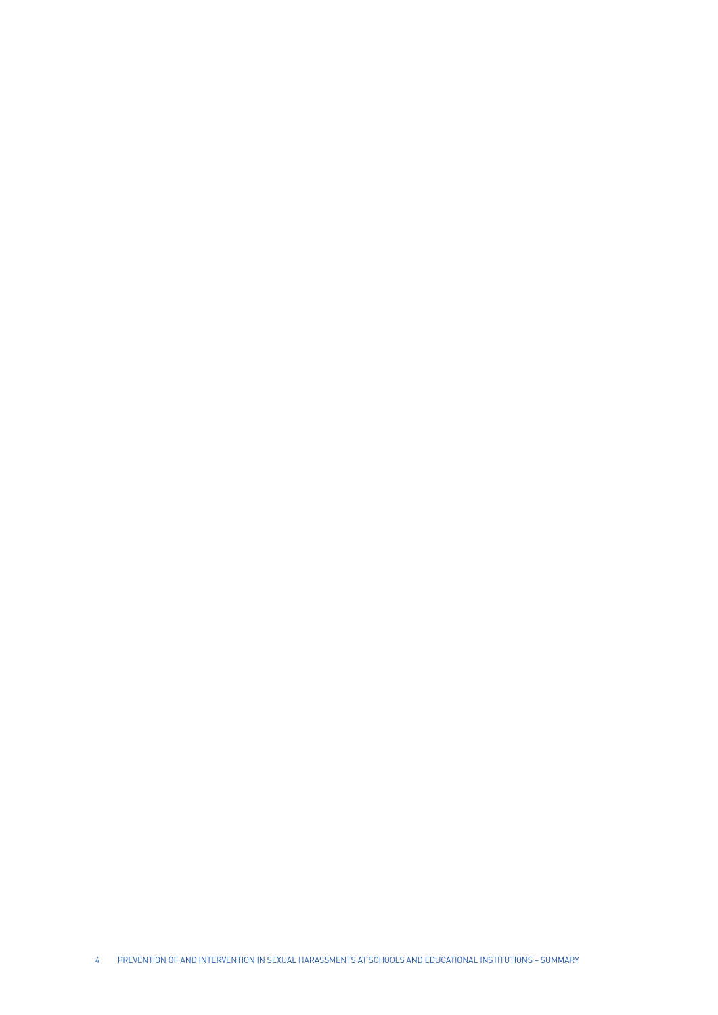PREVENTION OF AND INTERVENTION IN SEXUAL HARASSMENTS AT SCHOOLS AND EDUCATIONAL INSTITUTIONS – SUMMARY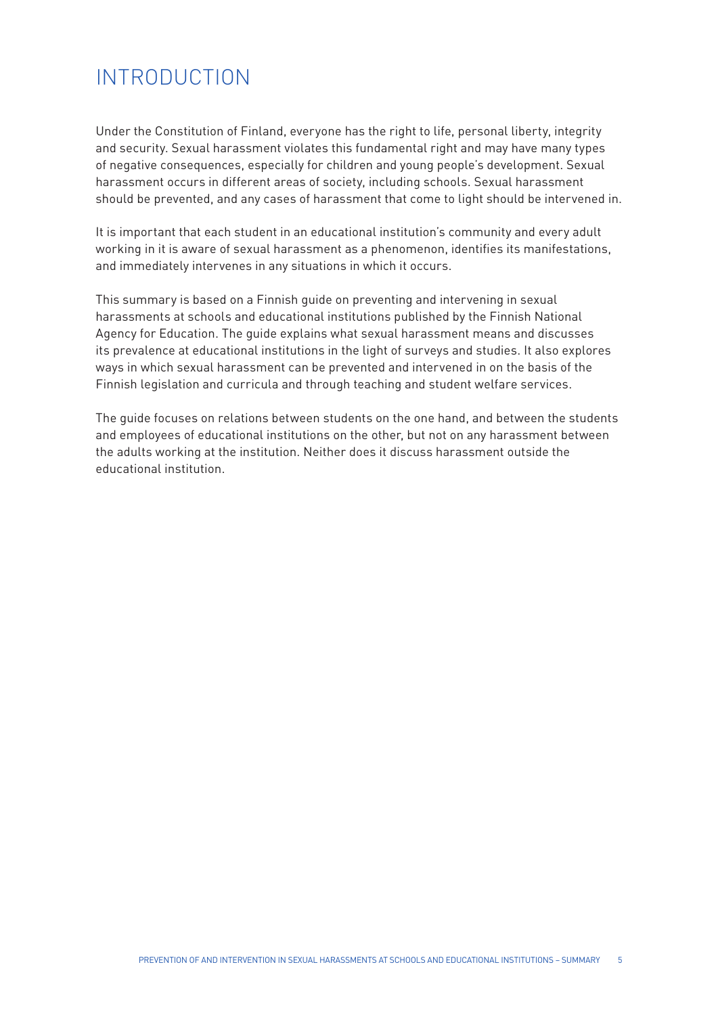## <span id="page-4-0"></span>INTRODUCTION

Under the Constitution of Finland, everyone has the right to life, personal liberty, integrity and security. Sexual harassment violates this fundamental right and may have many types of negative consequences, especially for children and young people's development. Sexual harassment occurs in different areas of society, including schools. Sexual harassment should be prevented, and any cases of harassment that come to light should be intervened in.

It is important that each student in an educational institution's community and every adult working in it is aware of sexual harassment as a phenomenon, identifies its manifestations, and immediately intervenes in any situations in which it occurs.

This summary is based on a Finnish guide on preventing and intervening in sexual harassments at schools and educational institutions published by the Finnish National Agency for Education. The guide explains what sexual harassment means and discusses its prevalence at educational institutions in the light of surveys and studies. It also explores ways in which sexual harassment can be prevented and intervened in on the basis of the Finnish legislation and curricula and through teaching and student welfare services.

The guide focuses on relations between students on the one hand, and between the students and employees of educational institutions on the other, but not on any harassment between the adults working at the institution. Neither does it discuss harassment outside the educational institution.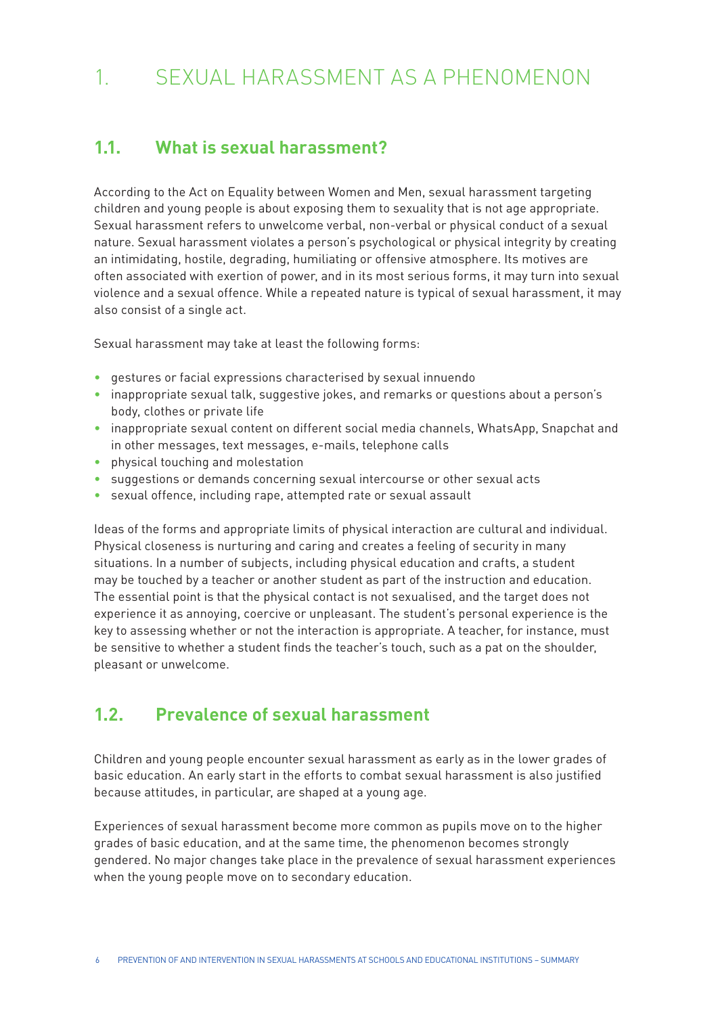## <span id="page-5-0"></span>1. SEXUAL HARASSMENT AS A PHENOMENON

#### **1.1. What is sexual harassment?**

According to the Act on Equality between Women and Men, sexual harassment targeting children and young people is about exposing them to sexuality that is not age appropriate. Sexual harassment refers to unwelcome verbal, non-verbal or physical conduct of a sexual nature. Sexual harassment violates a person's psychological or physical integrity by creating an intimidating, hostile, degrading, humiliating or offensive atmosphere. Its motives are often associated with exertion of power, and in its most serious forms, it may turn into sexual violence and a sexual offence. While a repeated nature is typical of sexual harassment, it may also consist of a single act.

Sexual harassment may take at least the following forms:

- gestures or facial expressions characterised by sexual innuendo
- inappropriate sexual talk, suggestive jokes, and remarks or questions about a person's body, clothes or private life
- inappropriate sexual content on different social media channels, WhatsApp, Snapchat and in other messages, text messages, e-mails, telephone calls
- physical touching and molestation
- suggestions or demands concerning sexual intercourse or other sexual acts
- sexual offence, including rape, attempted rate or sexual assault

Ideas of the forms and appropriate limits of physical interaction are cultural and individual. Physical closeness is nurturing and caring and creates a feeling of security in many situations. In a number of subjects, including physical education and crafts, a student may be touched by a teacher or another student as part of the instruction and education. The essential point is that the physical contact is not sexualised, and the target does not experience it as annoying, coercive or unpleasant. The student's personal experience is the key to assessing whether or not the interaction is appropriate. A teacher, for instance, must be sensitive to whether a student finds the teacher's touch, such as a pat on the shoulder, pleasant or unwelcome.

#### **1.2. Prevalence of sexual harassment**

Children and young people encounter sexual harassment as early as in the lower grades of basic education. An early start in the efforts to combat sexual harassment is also justified because attitudes, in particular, are shaped at a young age.

Experiences of sexual harassment become more common as pupils move on to the higher grades of basic education, and at the same time, the phenomenon becomes strongly gendered. No major changes take place in the prevalence of sexual harassment experiences when the young people move on to secondary education.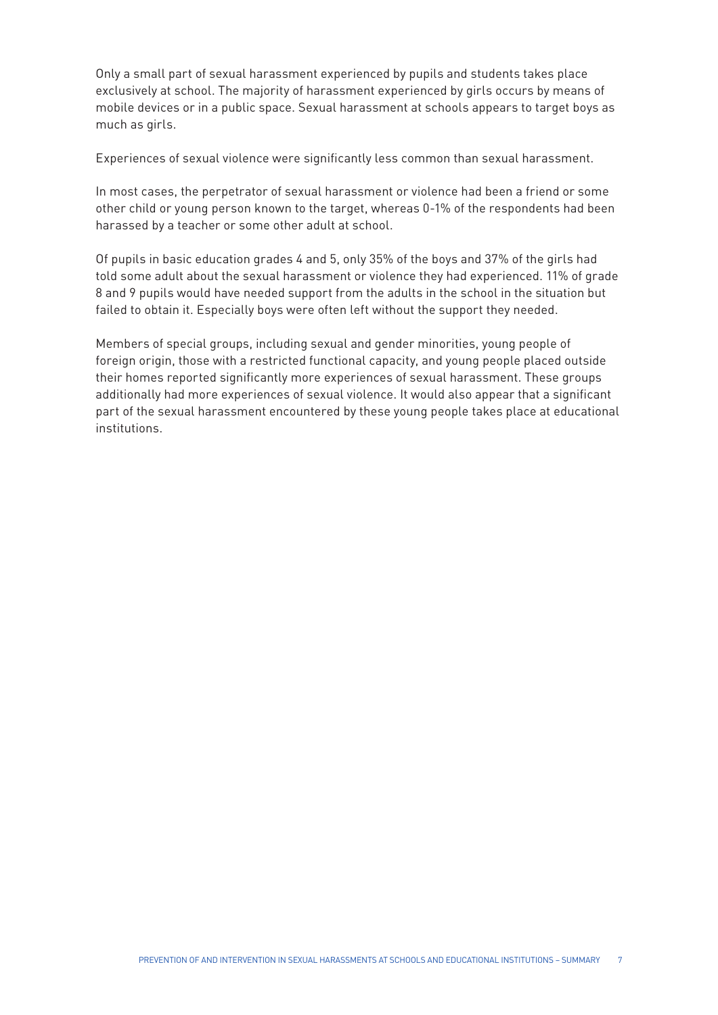Only a small part of sexual harassment experienced by pupils and students takes place exclusively at school. The majority of harassment experienced by girls occurs by means of mobile devices or in a public space. Sexual harassment at schools appears to target boys as much as girls.

Experiences of sexual violence were significantly less common than sexual harassment.

In most cases, the perpetrator of sexual harassment or violence had been a friend or some other child or young person known to the target, whereas 0-1% of the respondents had been harassed by a teacher or some other adult at school.

Of pupils in basic education grades 4 and 5, only 35% of the boys and 37% of the girls had told some adult about the sexual harassment or violence they had experienced. 11% of grade 8 and 9 pupils would have needed support from the adults in the school in the situation but failed to obtain it. Especially boys were often left without the support they needed.

Members of special groups, including sexual and gender minorities, young people of foreign origin, those with a restricted functional capacity, and young people placed outside their homes reported significantly more experiences of sexual harassment. These groups additionally had more experiences of sexual violence. It would also appear that a significant part of the sexual harassment encountered by these young people takes place at educational institutions.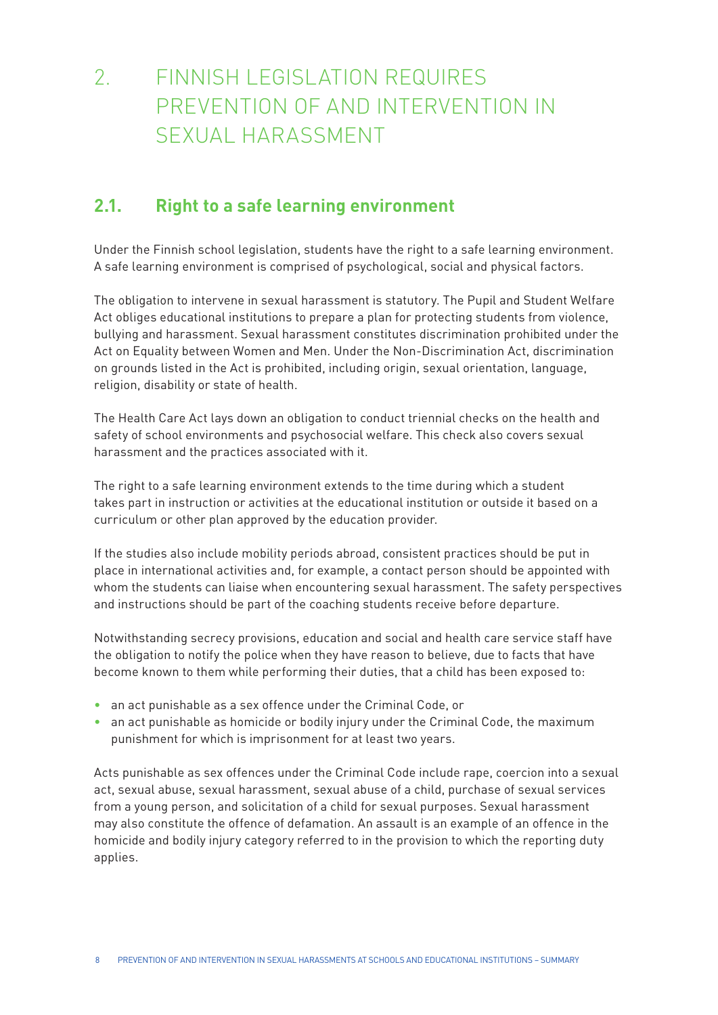## <span id="page-7-0"></span>2. FINNISH LEGISLATION REQUIRES PREVENTION OF AND INTERVENTION IN SEXUAL HARASSMENT

#### **2.1. Right to a safe learning environment**

Under the Finnish school legislation, students have the right to a safe learning environment. A safe learning environment is comprised of psychological, social and physical factors.

The obligation to intervene in sexual harassment is statutory. The Pupil and Student Welfare Act obliges educational institutions to prepare a plan for protecting students from violence, bullying and harassment. Sexual harassment constitutes discrimination prohibited under the Act on Equality between Women and Men. Under the Non-Discrimination Act, discrimination on grounds listed in the Act is prohibited, including origin, sexual orientation, language, religion, disability or state of health.

The Health Care Act lays down an obligation to conduct triennial checks on the health and safety of school environments and psychosocial welfare. This check also covers sexual harassment and the practices associated with it.

The right to a safe learning environment extends to the time during which a student takes part in instruction or activities at the educational institution or outside it based on a curriculum or other plan approved by the education provider.

If the studies also include mobility periods abroad, consistent practices should be put in place in international activities and, for example, a contact person should be appointed with whom the students can liaise when encountering sexual harassment. The safety perspectives and instructions should be part of the coaching students receive before departure.

Notwithstanding secrecy provisions, education and social and health care service staff have the obligation to notify the police when they have reason to believe, due to facts that have become known to them while performing their duties, that a child has been exposed to:

- an act punishable as a sex offence under the Criminal Code, or
- an act punishable as homicide or bodily injury under the [Criminal Code](https://www.finlex.fi/fi/laki/ajantasa/1889/18890039), the maximum punishment for which is imprisonment for at least two years.

Acts punishable as sex offences under the Criminal Code include rape, coercion into a sexual act, sexual abuse, sexual harassment, sexual abuse of a child, purchase of sexual services from a young person, and solicitation of a child for sexual purposes. Sexual harassment may also constitute the offence of defamation. An assault is an example of an offence in the homicide and bodily injury category referred to in the provision to which the reporting duty applies.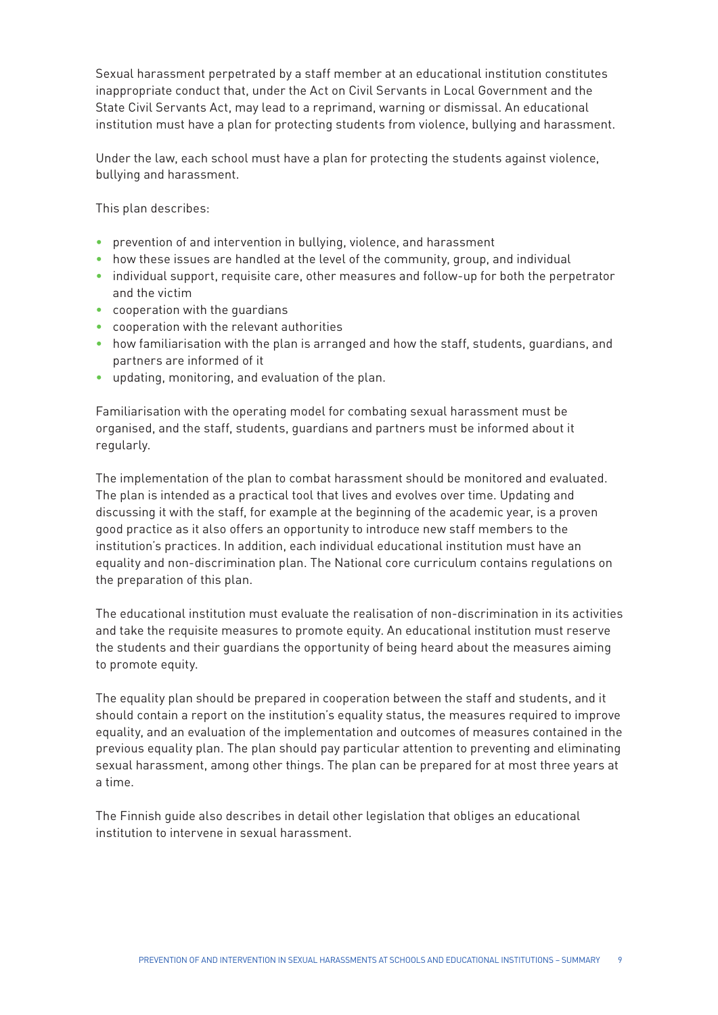Sexual harassment perpetrated by a staff member at an educational institution constitutes inappropriate conduct that, under the Act on Civil Servants in Local Government and the State Civil Servants Act, may lead to a reprimand, warning or dismissal. An educational institution must have a plan for protecting students from violence, bullying and harassment.

Under the law, each school must have a plan for protecting the students against violence, bullying and harassment.

This plan describes:

- prevention of and intervention in bullying, violence, and harassment
- how these issues are handled at the level of the community, group, and individual
- individual support, requisite care, other measures and follow-up for both the perpetrator and the victim
- cooperation with the guardians
- cooperation with the relevant authorities
- how familiarisation with the plan is arranged and how the staff, students, guardians, and partners are informed of it
- updating, monitoring, and evaluation of the plan.

Familiarisation with the operating model for combating sexual harassment must be organised, and the staff, students, guardians and partners must be informed about it regularly.

The implementation of the plan to combat harassment should be monitored and evaluated. The plan is intended as a practical tool that lives and evolves over time. Updating and discussing it with the staff, for example at the beginning of the academic year, is a proven good practice as it also offers an opportunity to introduce new staff members to the institution's practices. In addition, each individual educational institution must have an equality and non-discrimination plan. The National core curriculum contains regulations on the preparation of this plan.

The educational institution must evaluate the realisation of non-discrimination in its activities and take the requisite measures to promote equity. An educational institution must reserve the students and their guardians the opportunity of being heard about the measures aiming to promote equity.

The equality plan should be prepared in cooperation between the staff and students, and it should contain a report on the institution's equality status, the measures required to improve equality, and an evaluation of the implementation and outcomes of measures contained in the previous equality plan. The plan should pay particular attention to preventing and eliminating sexual harassment, among other things. The plan can be prepared for at most three years at a time.

The Finnish guide also describes in detail other legislation that obliges an educational institution to intervene in sexual harassment.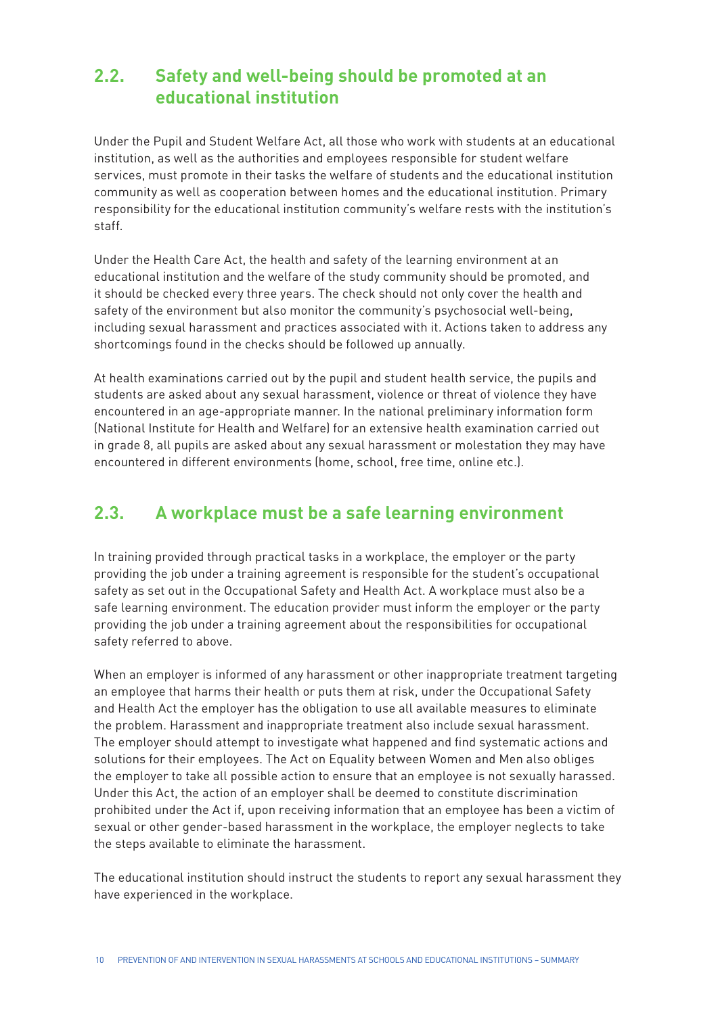#### <span id="page-9-0"></span>**2.2. Safety and well-being should be promoted at an educational institution**

Under the Pupil and Student Welfare Act, all those who work with students at an educational institution, as well as the authorities and employees responsible for student welfare services, must promote in their tasks the welfare of students and the educational institution community as well as cooperation between homes and the educational institution. Primary responsibility for the educational institution community's welfare rests with the institution's staff.

Under the Health Care Act, the health and safety of the learning environment at an educational institution and the welfare of the study community should be promoted, and it should be checked every three years. The check should not only cover the health and safety of the environment but also monitor the community's psychosocial well-being, including sexual harassment and practices associated with it. Actions taken to address any shortcomings found in the checks should be followed up annually.

At health examinations carried out by the pupil and student health service, the pupils and students are asked about any sexual harassment, violence or threat of violence they have encountered in an age-appropriate manner. In the national preliminary information form (National Institute for Health and Welfare) for an extensive health examination carried out in grade 8, all pupils are asked about any sexual harassment or molestation they may have encountered in different environments (home, school, free time, online etc.).

### **2.3. A workplace must be a safe learning environment**

In training provided through practical tasks in a workplace, the employer or the party providing the job under a training agreement is responsible for the student's occupational safety as set out in the Occupational Safety and Health Act. A workplace must also be a safe learning environment. The education provider must inform the employer or the party providing the job under a training agreement about the responsibilities for occupational safety referred to above.

When an employer is informed of any harassment or other inappropriate treatment targeting an employee that harms their health or puts them at risk, under the Occupational Safety and Health Act the employer has the obligation to use all available measures to eliminate the problem. Harassment and inappropriate treatment also include sexual harassment. The employer should attempt to investigate what happened and find systematic actions and solutions for their employees. The Act on Equality between Women and Men also obliges the employer to take all possible action to ensure that an employee is not sexually harassed. Under this Act, the action of an employer shall be deemed to constitute discrimination prohibited under the Act if, upon receiving information that an employee has been a victim of sexual or other gender-based harassment in the workplace, the employer neglects to take the steps available to eliminate the harassment.

The educational institution should instruct the students to report any sexual harassment they have experienced in the workplace.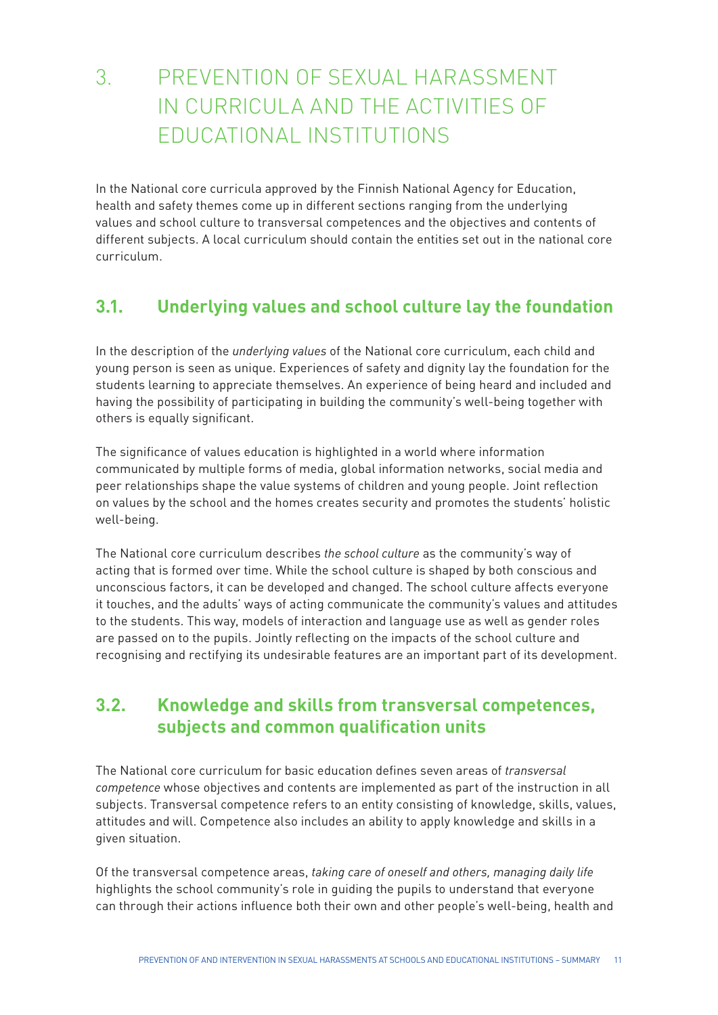<span id="page-10-0"></span>3. PREVENTION OF SEXUAL HARASSMENT IN CURRICULA AND THE ACTIVITIES OF EDUCATIONAL INSTITUTIONS

In the National core curricula approved by the Finnish National Agency for Education, health and safety themes come up in different sections ranging from the underlying values and school culture to transversal competences and the objectives and contents of different subjects. A local curriculum should contain the entities set out in the national core curriculum.

#### **3.1. Underlying values and school culture lay the foundation**

In the description of the *underlying values* of the National core curriculum, each child and young person is seen as unique. Experiences of safety and dignity lay the foundation for the students learning to appreciate themselves. An experience of being heard and included and having the possibility of participating in building the community's well-being together with others is equally significant.

The significance of values education is highlighted in a world where information communicated by multiple forms of media, global information networks, social media and peer relationships shape the value systems of children and young people. Joint reflection on values by the school and the homes creates security and promotes the students' holistic well-being.

The National core curriculum describes *the school culture* as the community's way of acting that is formed over time. While the school culture is shaped by both conscious and unconscious factors, it can be developed and changed. The school culture affects everyone it touches, and the adults' ways of acting communicate the community's values and attitudes to the students. This way, models of interaction and language use as well as gender roles are passed on to the pupils. Jointly reflecting on the impacts of the school culture and recognising and rectifying its undesirable features are an important part of its development.

#### **3.2. Knowledge and skills from transversal competences, subjects and common qualification units**

The National core curriculum for basic education defines seven areas of *transversal competence* whose objectives and contents are implemented as part of the instruction in all subjects. Transversal competence refers to an entity consisting of knowledge, skills, values, attitudes and will. Competence also includes an ability to apply knowledge and skills in a given situation.

Of the transversal competence areas, *taking care of oneself and others, managing daily life* highlights the school community's role in guiding the pupils to understand that everyone can through their actions influence both their own and other people's well-being, health and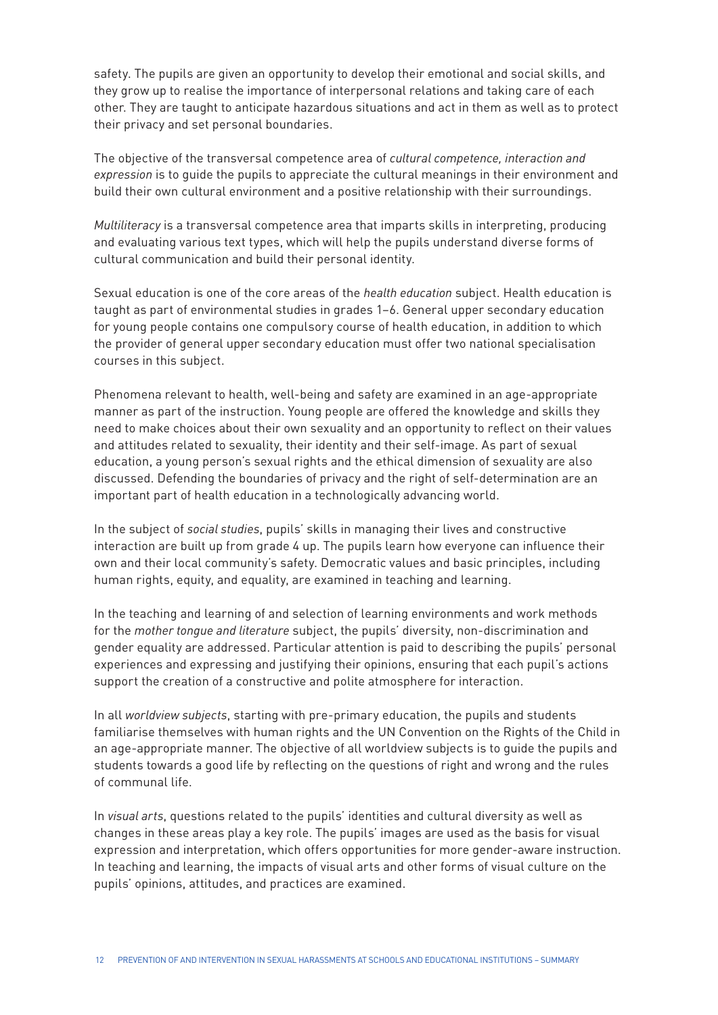safety. The pupils are given an opportunity to develop their emotional and social skills, and they grow up to realise the importance of interpersonal relations and taking care of each other. They are taught to anticipate hazardous situations and act in them as well as to protect their privacy and set personal boundaries.

The objective of the transversal competence area of *cultural competence, interaction and expression* is to guide the pupils to appreciate the cultural meanings in their environment and build their own cultural environment and a positive relationship with their surroundings.

*Multiliteracy* is a transversal competence area that imparts skills in interpreting, producing and evaluating various text types, which will help the pupils understand diverse forms of cultural communication and build their personal identity.

Sexual education is one of the core areas of the *health education* subject. Health education is taught as part of environmental studies in grades 1–6. General upper secondary education for young people contains one compulsory course of health education, in addition to which the provider of general upper secondary education must offer two national specialisation courses in this subject.

Phenomena relevant to health, well-being and safety are examined in an age-appropriate manner as part of the instruction. Young people are offered the knowledge and skills they need to make choices about their own sexuality and an opportunity to reflect on their values and attitudes related to sexuality, their identity and their self-image. As part of sexual education, a young person's sexual rights and the ethical dimension of sexuality are also discussed. Defending the boundaries of privacy and the right of self-determination are an important part of health education in a technologically advancing world.

In the subject of *social studies*, pupils' skills in managing their lives and constructive interaction are built up from grade 4 up. The pupils learn how everyone can influence their own and their local community's safety. Democratic values and basic principles, including human rights, equity, and equality, are examined in teaching and learning.

In the teaching and learning of and selection of learning environments and work methods for the *mother tongue and literature* subject, the pupils' diversity, non-discrimination and gender equality are addressed. Particular attention is paid to describing the pupils' personal experiences and expressing and justifying their opinions, ensuring that each pupil's actions support the creation of a constructive and polite atmosphere for interaction.

In all *worldview subjects*, starting with pre-primary education, the pupils and students familiarise themselves with human rights and the UN Convention on the Rights of the Child in an age-appropriate manner. The objective of all worldview subjects is to guide the pupils and students towards a good life by reflecting on the questions of right and wrong and the rules of communal life.

In *visual arts*, questions related to the pupils' identities and cultural diversity as well as changes in these areas play a key role. The pupils' images are used as the basis for visual expression and interpretation, which offers opportunities for more gender-aware instruction. In teaching and learning, the impacts of visual arts and other forms of visual culture on the pupils' opinions, attitudes, and practices are examined.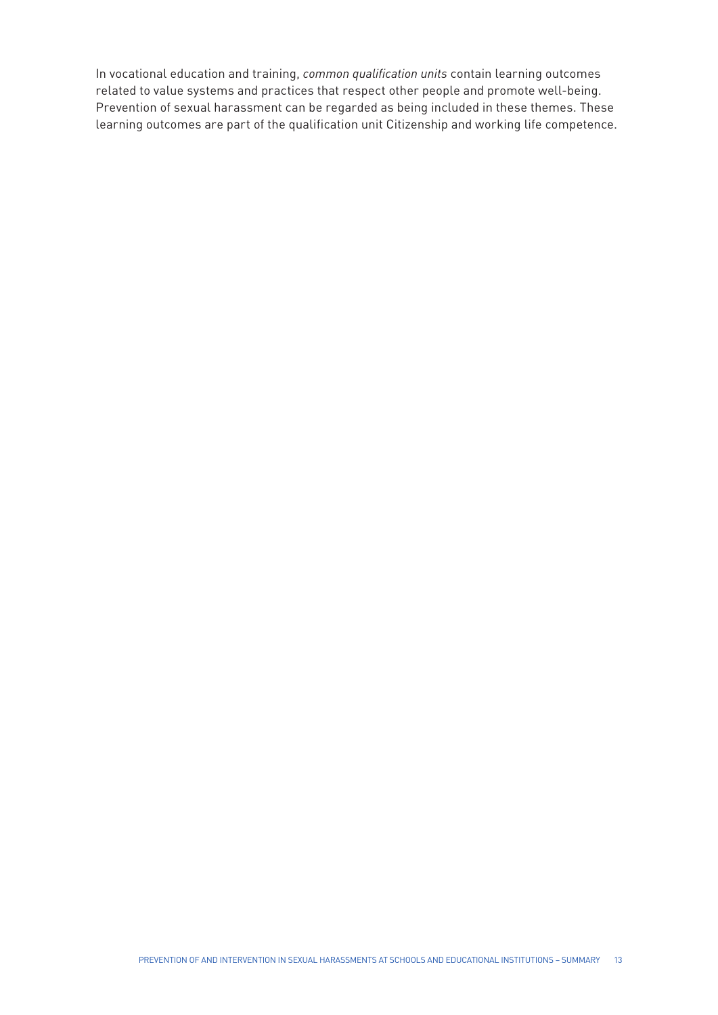In vocational education and training, *common qualification units* contain learning outcomes related to value systems and practices that respect other people and promote well-being. Prevention of sexual harassment can be regarded as being included in these themes. These learning outcomes are part of the qualification unit Citizenship and working life competence.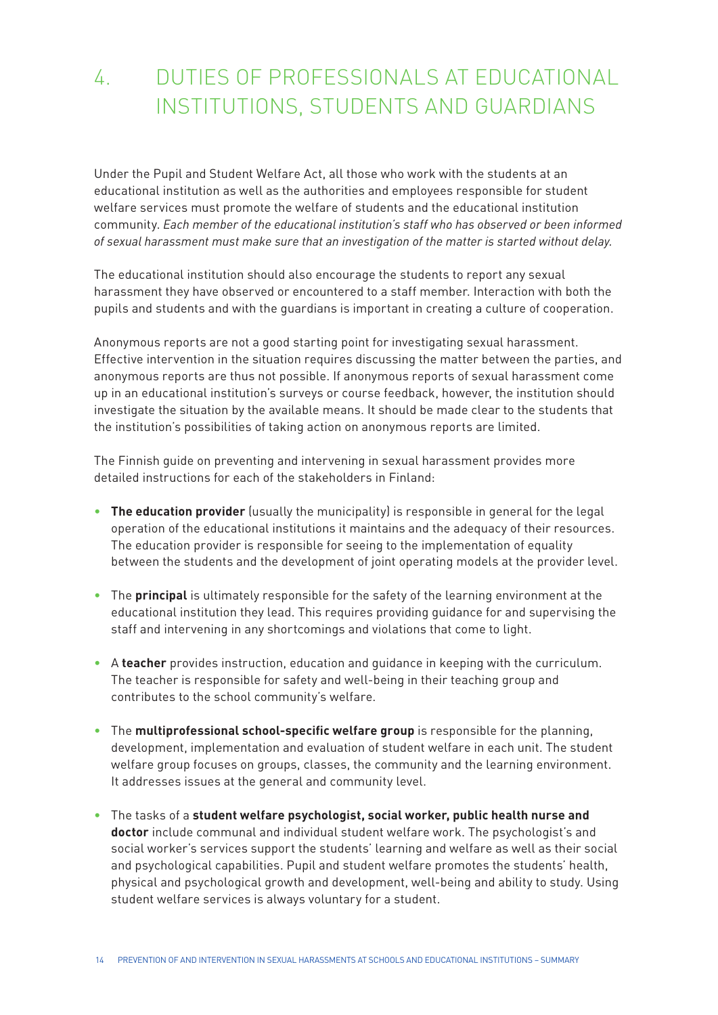## <span id="page-13-0"></span>4. DUTIES OF PROFESSIONALS AT EDUCATIONAL INSTITUTIONS, STUDENTS AND GUARDIANS

Under the Pupil and Student Welfare Act, all those who work with the students at an educational institution as well as the authorities and employees responsible for student welfare services must promote the welfare of students and the educational institution community. *Each member of the educational institution's staff who has observed or been informed of sexual harassment must make sure that an investigation of the matter is started without delay.*

The educational institution should also encourage the students to report any sexual harassment they have observed or encountered to a staff member. Interaction with both the pupils and students and with the guardians is important in creating a culture of cooperation.

Anonymous reports are not a good starting point for investigating sexual harassment. Effective intervention in the situation requires discussing the matter between the parties, and anonymous reports are thus not possible. If anonymous reports of sexual harassment come up in an educational institution's surveys or course feedback, however, the institution should investigate the situation by the available means. It should be made clear to the students that the institution's possibilities of taking action on anonymous reports are limited.

The Finnish guide on preventing and intervening in sexual harassment provides more detailed instructions for each of the stakeholders in Finland:

- **The education provider** (usually the municipality) is responsible in general for the legal operation of the educational institutions it maintains and the adequacy of their resources. The education provider is responsible for seeing to the implementation of equality between the students and the development of joint operating models at the provider level.
- The **principal** is ultimately responsible for the safety of the learning environment at the educational institution they lead. This requires providing guidance for and supervising the staff and intervening in any shortcomings and violations that come to light.
- A **teacher** provides instruction, education and guidance in keeping with the curriculum. The teacher is responsible for safety and well-being in their teaching group and contributes to the school community's welfare.
- The **multiprofessional school-specific welfare group** is responsible for the planning, development, implementation and evaluation of student welfare in each unit. The student welfare group focuses on groups, classes, the community and the learning environment. It addresses issues at the general and community level.
- The tasks of a **student welfare psychologist, social worker, public health nurse and doctor** include communal and individual student welfare work. The psychologist's and social worker's services support the students' learning and welfare as well as their social and psychological capabilities. Pupil and student welfare promotes the students' health, physical and psychological growth and development, well-being and ability to study. Using student welfare services is always voluntary for a student.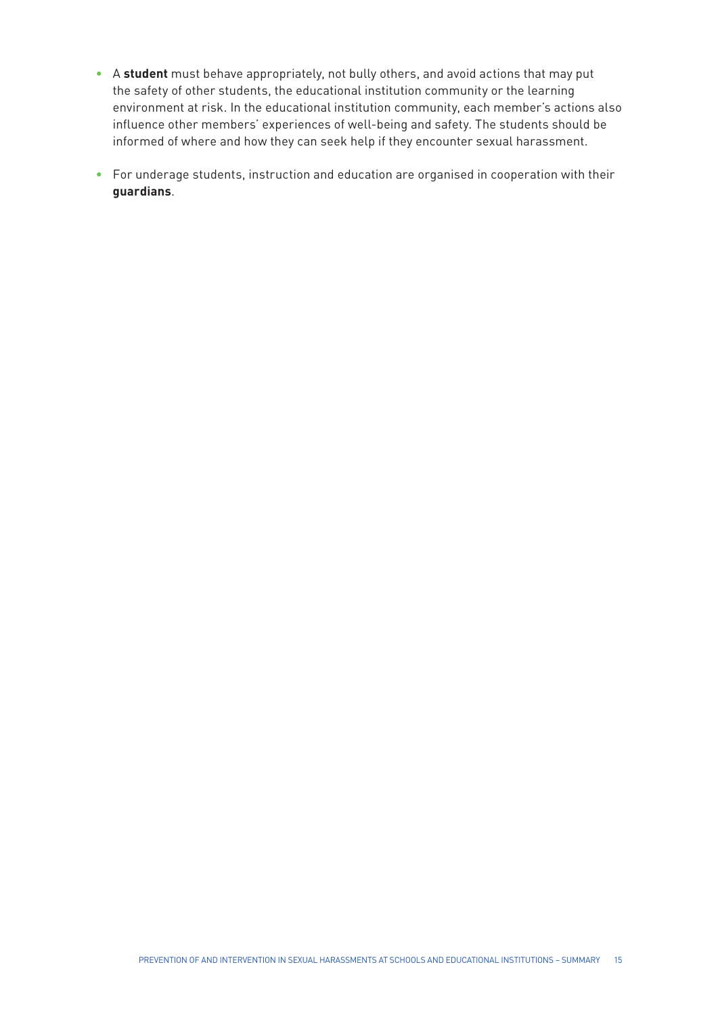- A **student** must behave appropriately, not bully others, and avoid actions that may put the safety of other students, the educational institution community or the learning environment at risk. In the educational institution community, each member's actions also influence other members' experiences of well-being and safety. The students should be informed of where and how they can seek help if they encounter sexual harassment.
- For underage students, instruction and education are organised in cooperation with their **guardians**.